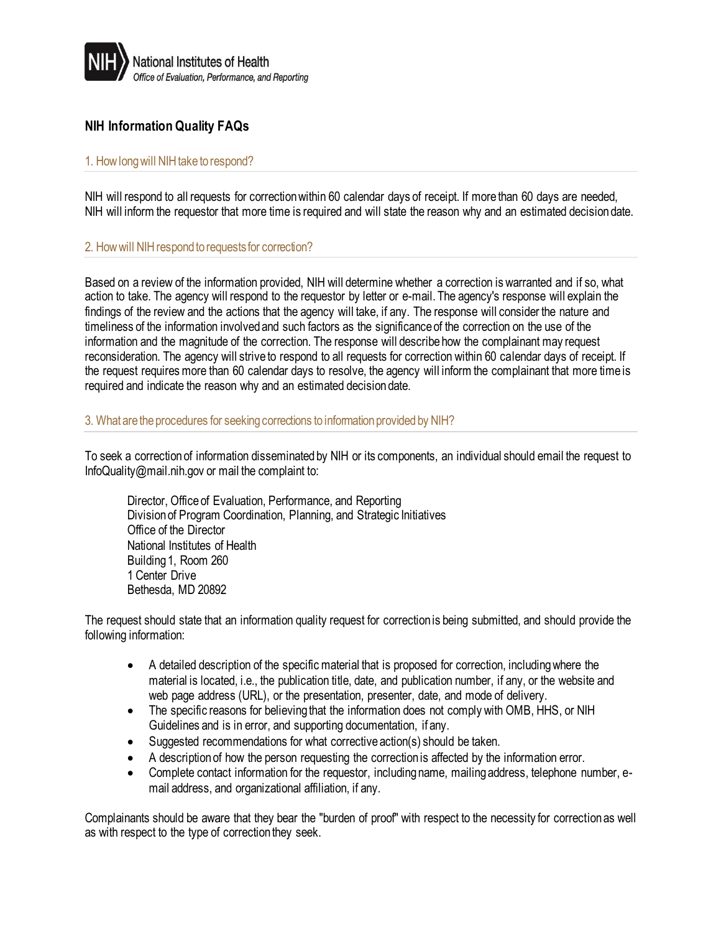

# **NIH Information Quality FAQs**

## 1. How long will NIH take to respond?

NIH will respond to all requests for correction within 60 calendar days of receipt. If more than 60 days are needed, NIH will inform the requestor that more time is required and will state the reason why and an estimated decision date.

#### 2. How will NIH respond to requests for correction?

Based on a review of the information provided, NIH will determine whether a correction is warranted and if so, what action to take. The agency will respond to the requestor by letter or e-mail. The agency's response will explain the findings of the review and the actions that the agency will take, if any. The response will consider the nature and timeliness of the information involved and such factors as the significance of the correction on the use of the information and the magnitude of the correction. The response will describe how the complainant may request reconsideration. The agency will strive to respond to all requests for correction within 60 calendar days of receipt. If the request requires more than 60 calendar days to resolve, the agency will inform the complainant that more time is required and indicate the reason why and an estimated decision date.

#### 3. What are the procedures for seeking corrections to information provided by NIH?

To seek a correction of information disseminated by NIH or its components, an individual should email the request to [InfoQuality@mail.nih.gov](mailto:InfoQuality@mail.nih.gov) or mail the complaint to:

Director, Office of Evaluation, Performance, and Reporting Division of Program Coordination, Planning, and Strategic Initiatives Office of the Director National Institutes of Health Building 1, Room 260 1 Center Drive Bethesda, MD 20892

The request should state that an information quality request for correction is being submitted, and should provide the following information:

- A detailed description of the specific material that is proposed for correction, including where the material is located, i.e., the publication title, date, and publication number, if any, or the website and web page address (URL), or the presentation, presenter, date, and mode of delivery.
- The specific reasons for believing that the information does not comply with OMB, HHS, or NIH Guidelines and is in error, and supporting documentation, if any.
- Suggested recommendations for what corrective action(s) should be taken.
- A description of how the person requesting the correction is affected by the information error.
- Complete contact information for the requestor, including name, mailing address, telephone number, email address, and organizational affiliation, if any.

Complainants should be aware that they bear the "burden of proof" with respect to the necessity for correction as well as with respect to the type of correction they seek.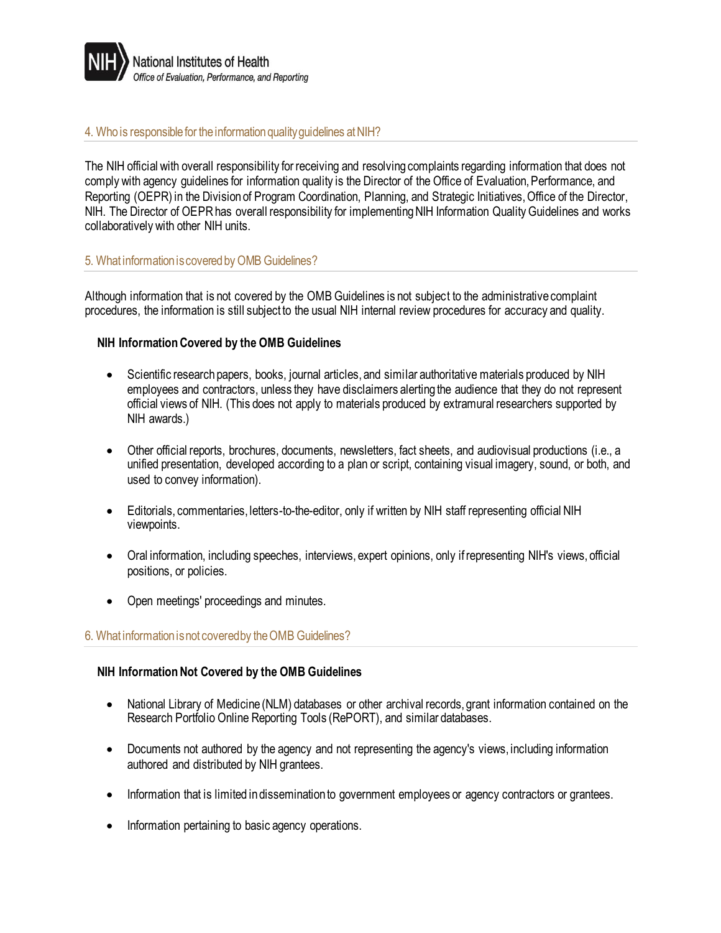

#### 4. Who is responsible for the information quality guidelines at NIH?

The NIH official with overall responsibility for receiving and resolving complaints regarding information that does not comply with agency guidelines for information quality is the Director of the Office of Evaluation, Performance, and Reporting (OEPR) in the Division of Program Coordination, Planning, and Strategic Initiatives, Office of the Director, NIH. The Director of OEPR has overall responsibility for implementing NIH Information Quality Guidelines and works collaboratively with other NIH units.

#### 5. What information is covered by OMB Guidelines?

Although information that is not covered by the OMB Guidelines is not subject to the administrative complaint procedures, the information is still subject to the usual NIH internal review procedures for accuracy and quality.

## **NIH Information Covered by the OMB Guidelines**

- Scientific research papers, books, journal articles, and similar authoritative materials produced by NIH employees and contractors, unless they have disclaimers alerting the audience that they do not represent official views of NIH. (This does not apply to materials produced by extramural researchers supported by NIH awards.)
- Other official reports, brochures, documents, newsletters, fact sheets, and audiovisual productions (i.e., a unified presentation, developed according to a plan or script, containing visual imagery, sound, or both, and used to convey information).
- Editorials, commentaries, letters-to-the-editor, only if written by NIH staff representing official NIH viewpoints.
- Oral information, including speeches, interviews, expert opinions, only if representing NIH's views, official positions, or policies.
- Open meetings' proceedings and minutes.

## 6. What information is not covered by the OMB Guidelines?

## **NIH Information Not Covered by the OMB Guidelines**

- National Library of Medicine (NLM) databases or other archival records, grant information contained on the Research Portfolio Online Reporting Tools (RePORT), and similar databases.
- Documents not authored by the agency and not representing the agency's views, including information authored and distributed by NIH grantees.
- Information that is limited in dissemination to government employees or agency contractors or grantees.
- Information pertaining to basic agency operations.